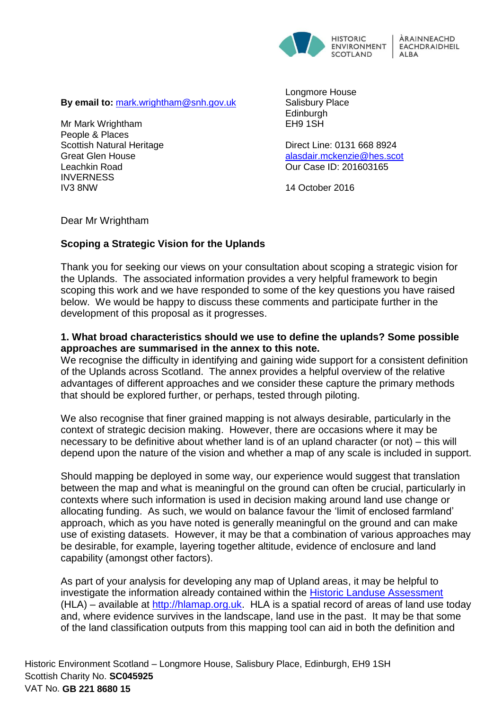

**By email to:** [mark.wrightham@snh.gov.uk](mailto:mark.wrightham@snh.gov.uk)

Mr Mark Wrightham People & Places Scottish Natural Heritage Great Glen House Leachkin Road **INVERNESS** IV3 8NW

Longmore House Salisbury Place **Edinburgh** EH9 1SH

Direct Line: 0131 668 8924 [alasdair.mckenzie@hes.scot](mailto:alasdair.mckenzie@hes.scot) Our Case ID: 201603165

14 October 2016

Dear Mr Wrightham

# **Scoping a Strategic Vision for the Uplands**

Thank you for seeking our views on your consultation about scoping a strategic vision for the Uplands. The associated information provides a very helpful framework to begin scoping this work and we have responded to some of the key questions you have raised below. We would be happy to discuss these comments and participate further in the development of this proposal as it progresses.

# **1. What broad characteristics should we use to define the uplands? Some possible approaches are summarised in the annex to this note.**

We recognise the difficulty in identifying and gaining wide support for a consistent definition of the Uplands across Scotland. The annex provides a helpful overview of the relative advantages of different approaches and we consider these capture the primary methods that should be explored further, or perhaps, tested through piloting.

We also recognise that finer grained mapping is not always desirable, particularly in the context of strategic decision making. However, there are occasions where it may be necessary to be definitive about whether land is of an upland character (or not) – this will depend upon the nature of the vision and whether a map of any scale is included in support.

Should mapping be deployed in some way, our experience would suggest that translation between the map and what is meaningful on the ground can often be crucial, particularly in contexts where such information is used in decision making around land use change or allocating funding. As such, we would on balance favour the 'limit of enclosed farmland' approach, which as you have noted is generally meaningful on the ground and can make use of existing datasets. However, it may be that a combination of various approaches may be desirable, for example, layering together altitude, evidence of enclosure and land capability (amongst other factors).

As part of your analysis for developing any map of Upland areas, it may be helpful to investigate the information already contained within the [Historic Landuse Assessment](http://hlamap.org.uk/)  $(HLA)$  – available at [http://hlamap.org.uk.](http://hlamap.org.uk/) HLA is a spatial record of areas of land use today and, where evidence survives in the landscape, land use in the past. It may be that some of the land classification outputs from this mapping tool can aid in both the definition and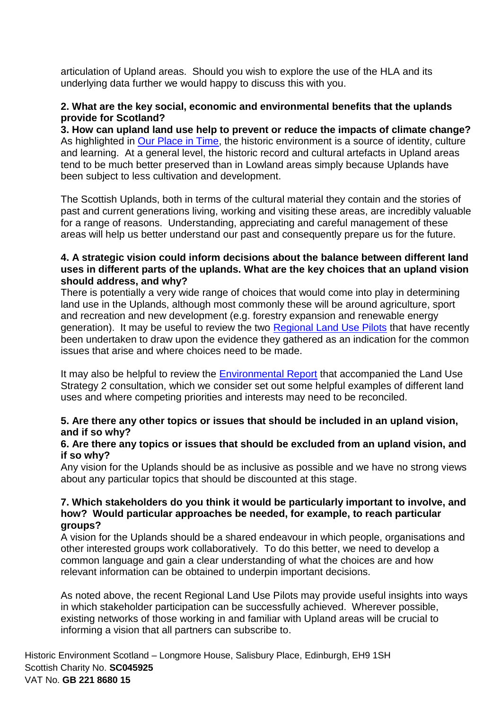articulation of Upland areas. Should you wish to explore the use of the HLA and its underlying data further we would happy to discuss this with you.

## **2. What are the key social, economic and environmental benefits that the uplands provide for Scotland?**

**3. How can upland land use help to prevent or reduce the impacts of climate change?** As highlighted in [Our Place in Time,](http://www.gov.scot/Resource/0044/00445046.pdf) the historic environment is a source of identity, culture and learning. At a general level, the historic record and cultural artefacts in Upland areas tend to be much better preserved than in Lowland areas simply because Uplands have been subject to less cultivation and development.

The Scottish Uplands, both in terms of the cultural material they contain and the stories of past and current generations living, working and visiting these areas, are incredibly valuable for a range of reasons. Understanding, appreciating and careful management of these areas will help us better understand our past and consequently prepare us for the future.

# **4. A strategic vision could inform decisions about the balance between different land uses in different parts of the uplands. What are the key choices that an upland vision should address, and why?**

There is potentially a very wide range of choices that would come into play in determining land use in the Uplands, although most commonly these will be around agriculture, sport and recreation and new development (e.g. forestry expansion and renewable energy generation). It may be useful to review the two [Regional Land Use Pilots](http://www.gov.scot/Topics/Environment/Countryside/Landusestrategy/regional) that have recently been undertaken to draw upon the evidence they gathered as an indication for the common issues that arise and where choices need to be made.

It may also be helpful to review the [Environmental Report](http://www.gov.scot/Resource/0049/00492155.pdf) that accompanied the Land Use Strategy 2 consultation, which we consider set out some helpful examples of different land uses and where competing priorities and interests may need to be reconciled.

## **5. Are there any other topics or issues that should be included in an upland vision, and if so why?**

### **6. Are there any topics or issues that should be excluded from an upland vision, and if so why?**

Any vision for the Uplands should be as inclusive as possible and we have no strong views about any particular topics that should be discounted at this stage.

#### **7. Which stakeholders do you think it would be particularly important to involve, and how? Would particular approaches be needed, for example, to reach particular groups?**

A vision for the Uplands should be a shared endeavour in which people, organisations and other interested groups work collaboratively. To do this better, we need to develop a common language and gain a clear understanding of what the choices are and how relevant information can be obtained to underpin important decisions.

As noted above, the recent Regional Land Use Pilots may provide useful insights into ways in which stakeholder participation can be successfully achieved. Wherever possible, existing networks of those working in and familiar with Upland areas will be crucial to informing a vision that all partners can subscribe to.

Historic Environment Scotland – Longmore House, Salisbury Place, Edinburgh, EH9 1SH Scottish Charity No. **SC045925** VAT No. **GB 221 8680 15**